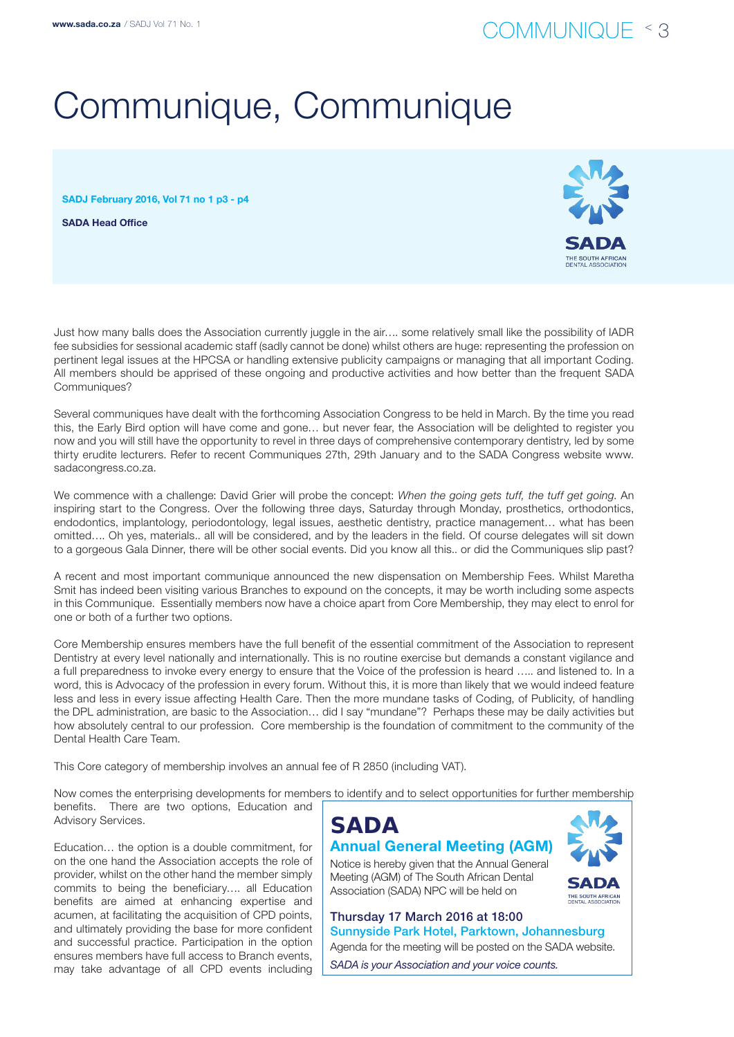# Communique, Communique

SADJ February 2016, Vol 71 no 1 p3 - p4

SADA Head Office



Just how many balls does the Association currently juggle in the air…. some relatively small like the possibility of IADR fee subsidies for sessional academic staff (sadly cannot be done) whilst others are huge: representing the profession on pertinent legal issues at the HPCSA or handling extensive publicity campaigns or managing that all important Coding. All members should be apprised of these ongoing and productive activities and how better than the frequent SADA Communiques?

Several communiques have dealt with the forthcoming Association Congress to be held in March. By the time you read this, the Early Bird option will have come and gone... but never fear, the Association will be delighted to register you now and you will still have the opportunity to revel in three days of comprehensive contemporary dentistry, led by some thirty erudite lecturers. Refer to recent Communiques 27th, 29th January and to the SADA Congress website www. sadacongress.co.za.

We commence with a challenge: David Grier will probe the concept: *When the going gets tuff, the tuff get going*. An inspiring start to the Congress. Over the following three days, Saturday through Monday, prosthetics, orthodontics, endodontics, implantology, periodontology, legal issues, aesthetic dentistry, practice management… what has been omitted…. Oh yes, materials.. all will be considered, and by the leaders in the field. Of course delegates will sit down to a gorgeous Gala Dinner, there will be other social events. Did you know all this.. or did the Communiques slip past?

A recent and most important communique announced the new dispensation on Membership Fees. Whilst Maretha Smit has indeed been visiting various Branches to expound on the concepts, it may be worth including some aspects in this Communique. Essentially members now have a choice apart from Core Membership, they may elect to enrol for one or both of a further two options.

Core Membership ensures members have the full benefit of the essential commitment of the Association to represent Dentistry at every level nationally and internationally. This is no routine exercise but demands a constant vigilance and a full preparedness to invoke every energy to ensure that the Voice of the profession is heard ….. and listened to. In a word, this is Advocacy of the profession in every forum. Without this, it is more than likely that we would indeed feature less and less in every issue affecting Health Care. Then the more mundane tasks of Coding, of Publicity, of handling the DPL administration, are basic to the Association… did I say "mundane"? Perhaps these may be daily activities but how absolutely central to our profession. Core membership is the foundation of commitment to the community of the Dental Health Care Team.

This Core category of membership involves an annual fee of R 2850 (including VAT).

Now comes the enterprising developments for members to identify and to select opportunities for further membership benefits. There are two options, Education and Advisory Services.

Education… the option is a double commitment, for on the one hand the Association accepts the role of provider, whilst on the other hand the member simply commits to being the beneficiary…. all Education benefits are aimed at enhancing expertise and acumen, at facilitating the acquisition of CPD points, and ultimately providing the base for more confident and successful practice. Participation in the option ensures members have full access to Branch events, may take advantage of all CPD events including





Meeting (AGM) of The South African Dental Association (SADA) NPC will be held on

Thursday 17 March 2016 at 18:00 Sunnyside Park Hotel, Parktown, Johannesburg Agenda for the meeting will be posted on the SADA website.

*SADA is your Association and your voice counts.*